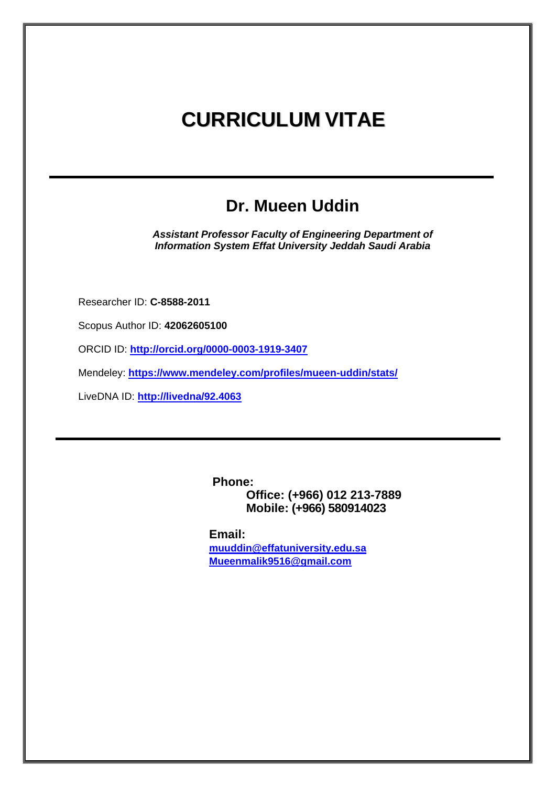# **CURRICULUM VITAE**

## **Dr. Mueen Uddin**

*Assistant Professor Faculty of Engineering Department of Information System Effat University Jeddah Saudi Arabia*

Researcher ID: **C-8588-2011**

Scopus Author ID: **42062605100**

ORCID ID: **<http://orcid.org/0000-0003-1919-3407>**

Mendeley: **<https://www.mendeley.com/profiles/mueen-uddin/stats/>**

LiveDNA ID: **<http://livedna/92.4063>**

**Phone: Office: (+966) 012 213-7889 Mobile: (+966) 580914023**

**Email: [muuddin@effatuniversity.edu.sa](mailto:muuddin@effatuniversity.edu.sa) [Mueenmalik9516@gmail.com](mailto:Mueenmalik9516@gmail.com)**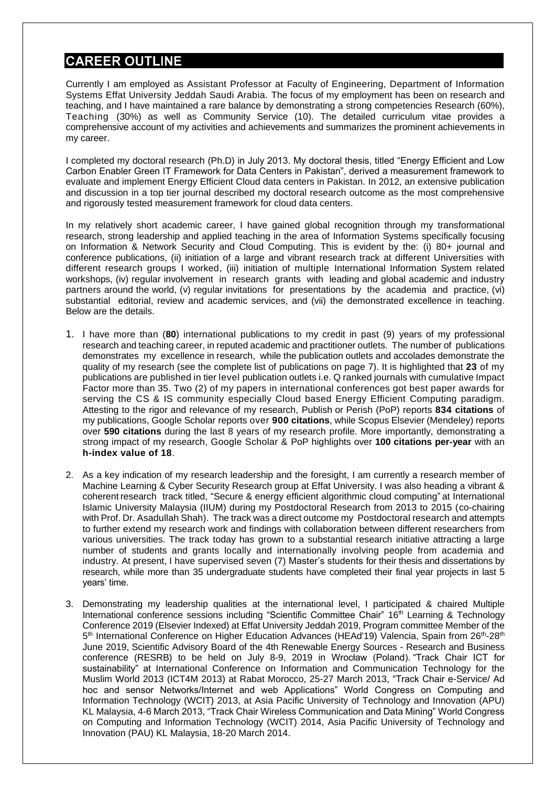## **CAREER OUTLINE**

Currently I am employed as Assistant Professor at Faculty of Engineering, Department of Information Systems Effat University Jeddah Saudi Arabia. The focus of my employment has been on research and teaching, and I have maintained a rare balance by demonstrating a strong competencies Research (60%), Teaching (30%) as well as Community Service (10). The detailed curriculum vitae provides a comprehensive account of my activities and achievements and summarizes the prominent achievements in my career.

I completed my doctoral research (Ph.D) in July 2013. My doctoral thesis, titled "Energy Efficient and Low Carbon Enabler Green IT Framework for Data Centers in Pakistan", derived a measurement framework to evaluate and implement Energy Efficient Cloud data centers in Pakistan. In 2012, an extensive publication and discussion in a top tier journal described my doctoral research outcome as the most comprehensive and rigorously tested measurement framework for cloud data centers.

In my relatively short academic career, I have gained global recognition through my transformational research, strong leadership and applied teaching in the area of Information Systems specifically focusing on Information & Network Security and Cloud Computing. This is evident by the: (i) 80+ journal and conference publications, (ii) initiation of a large and vibrant research track at different Universities with different research groups I worked, (iii) initiation of multiple International Information System related workshops, (iv) regular involvement in research grants with leading and global academic and industry partners around the world, (v) regular invitations for presentations by the academia and practice, (vi) substantial editorial, review and academic services, and (vii) the demonstrated excellence in teaching. Below are the details.

- 1. I have more than (**80**) international publications to my credit in past (9) years of my professional research and teaching career, in reputed academic and practitioner outlets. The number of publications demonstrates my excellence in research, while the publication outlets and accolades demonstrate the quality of my research (see the complete list of publications on page 7). It is highlighted that **23** of my publications are published in tier level publication outlets i.e. Q ranked journals with cumulative Impact Factor more than 35. Two (2) of my papers in international conferences got best paper awards for serving the CS & IS community especially Cloud based Energy Efficient Computing paradigm. Attesting to the rigor and relevance of my research, Publish or Perish (PoP) reports **834 citations** of my publications, Google Scholar reports over **900 citations**, while Scopus Elsevier (Mendeley) reports over **590 citations** during the last 8 years of my research profile. More importantly, demonstrating a strong impact of my research, Google Scholar & PoP highlights over **100 citations per-year** with an **h-index value of 18**.
- 2. As a key indication of my research leadership and the foresight, I am currently a research member of Machine Learning & Cyber Security Research group at Effat University. I was also heading a vibrant & coherent research track titled, "Secure & energy efficient algorithmic cloud computing" at International Islamic University Malaysia (IIUM) during my Postdoctoral Research from 2013 to 2015 (co-chairing with Prof. Dr. Asadullah Shah). The track was a direct outcome my Postdoctoral research and attempts to further extend my research work and findings with collaboration between different researchers from various universities. The track today has grown to a substantial research initiative attracting a large number of students and grants locally and internationally involving people from academia and industry. At present, I have supervised seven (7) Master's students for their thesis and dissertations by research, while more than 35 undergraduate students have completed their final year projects in last 5 years' time.
- 3. Demonstrating my leadership qualities at the international level, I participated & chaired Multiple International conference sessions including "Scientific Committee Chair" 16<sup>th</sup> Learning & Technology Conference 2019 (Elsevier Indexed) at Effat University Jeddah 2019, Program committee Member of the 5<sup>th</sup> International Conference on Higher Education Advances (HEAd'19) Valencia, Spain from 26<sup>th</sup>-28<sup>th</sup> June 2019, Scientific Advisory Board of the 4th Renewable Energy Sources - Research and Business conference (RESRB) to be held on July 8-9, 2019 in Wrocław (Poland). "Track Chair ICT for sustainability" at International Conference on Information and Communication Technology for the Muslim World 2013 (ICT4M 2013) at Rabat Morocco, 25-27 March 2013, "Track Chair e-Service/ Ad hoc and sensor Networks/Internet and web Applications" World Congress on Computing and Information Technology (WCIT) 2013, at Asia Pacific University of Technology and Innovation (APU) KL Malaysia, 4-6 March 2013, "Track Chair Wireless Communication and Data Mining" World Congress on Computing and Information Technology (WCIT) 2014, Asia Pacific University of Technology and Innovation (PAU) KL Malaysia, 18-20 March 2014.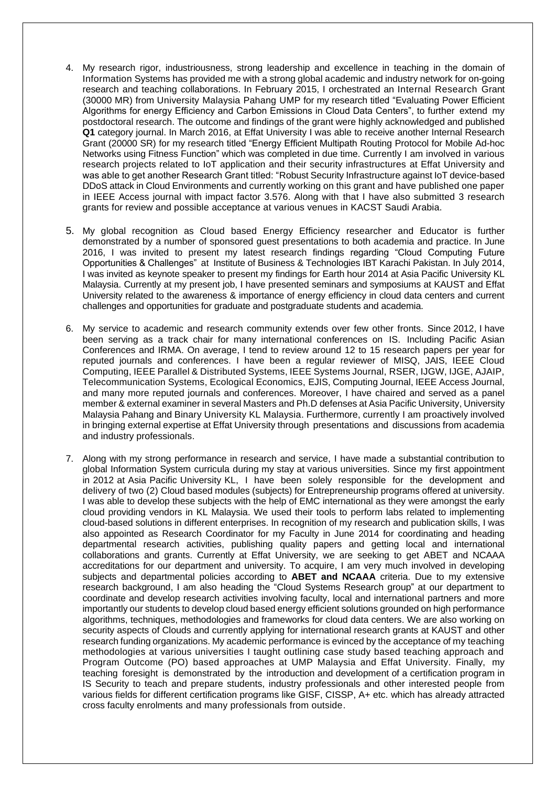- 4. My research rigor, industriousness, strong leadership and excellence in teaching in the domain of Information Systems has provided me with a strong global academic and industry network for on-going research and teaching collaborations. In February 2015, I orchestrated an Internal Research Grant (30000 MR) from University Malaysia Pahang UMP for my research titled "Evaluating Power Efficient Algorithms for energy Efficiency and Carbon Emissions in Cloud Data Centers", to further extend my postdoctoral research. The outcome and findings of the grant were highly acknowledged and published **Q1** category journal. In March 2016, at Effat University I was able to receive another Internal Research Grant (20000 SR) for my research titled "Energy Efficient Multipath Routing Protocol for Mobile Ad-hoc Networks using Fitness Function" which was completed in due time. Currently I am involved in various research projects related to IoT application and their security infrastructures at Effat University and was able to get another Research Grant titled: "Robust Security Infrastructure against IoT device-based DDoS attack in Cloud Environments and currently working on this grant and have published one paper in IEEE Access journal with impact factor 3.576. Along with that I have also submitted 3 research grants for review and possible acceptance at various venues in KACST Saudi Arabia.
- 5. My global recognition as Cloud based Energy Efficiency researcher and Educator is further demonstrated by a number of sponsored guest presentations to both academia and practice. In June 2016, I was invited to present my latest research findings regarding "Cloud Computing Future Opportunities & Challenges" at Institute of Business & Technologies IBT Karachi Pakistan. In July 2014, I was invited as keynote speaker to present my findings for Earth hour 2014 at Asia Pacific University KL Malaysia. Currently at my present job, I have presented seminars and symposiums at KAUST and Effat University related to the awareness & importance of energy efficiency in cloud data centers and current challenges and opportunities for graduate and postgraduate students and academia.
- 6. My service to academic and research community extends over few other fronts. Since 2012, I have been serving as a track chair for many international conferences on IS. Including Pacific Asian Conferences and IRMA. On average, I tend to review around 12 to 15 research papers per year for reputed journals and conferences. I have been a regular reviewer of MISQ, JAIS, IEEE Cloud Computing, IEEE Parallel & Distributed Systems, IEEE Systems Journal, RSER, IJGW, IJGE, AJAIP, Telecommunication Systems, Ecological Economics, EJIS, Computing Journal, IEEE Access Journal, and many more reputed journals and conferences. Moreover, I have chaired and served as a panel member & external examiner in several Masters and Ph.D defenses at Asia Pacific University, University Malaysia Pahang and Binary University KL Malaysia. Furthermore, currently I am proactively involved in bringing external expertise at Effat University through presentations and discussions from academia and industry professionals.
- 7. Along with my strong performance in research and service, I have made a substantial contribution to global Information System curricula during my stay at various universities. Since my first appointment in 2012 at Asia Pacific University KL, I have been solely responsible for the development and delivery of two (2) Cloud based modules (subjects) for Entrepreneurship programs offered at university. I was able to develop these subjects with the help of EMC international as they were amongst the early cloud providing vendors in KL Malaysia. We used their tools to perform labs related to implementing cloud-based solutions in different enterprises. In recognition of my research and publication skills, I was also appointed as Research Coordinator for my Faculty in June 2014 for coordinating and heading departmental research activities, publishing quality papers and getting local and international collaborations and grants. Currently at Effat University, we are seeking to get ABET and NCAAA accreditations for our department and university. To acquire, I am very much involved in developing subjects and departmental policies according to **ABET and NCAAA** criteria. Due to my extensive research background, I am also heading the "Cloud Systems Research group" at our department to coordinate and develop research activities involving faculty, local and international partners and more importantly our students to develop cloud based energy efficient solutions grounded on high performance algorithms, techniques, methodologies and frameworks for cloud data centers. We are also working on security aspects of Clouds and currently applying for international research grants at KAUST and other research funding organizations. My academic performance is evinced by the acceptance of my teaching methodologies at various universities I taught outlining case study based teaching approach and Program Outcome (PO) based approaches at UMP Malaysia and Effat University. Finally, my teaching foresight is demonstrated by the introduction and development of a certification program in IS Security to teach and prepare students, industry professionals and other interested people from various fields for different certification programs like GISF, CISSP, A+ etc. which has already attracted cross faculty enrolments and many professionals from outside.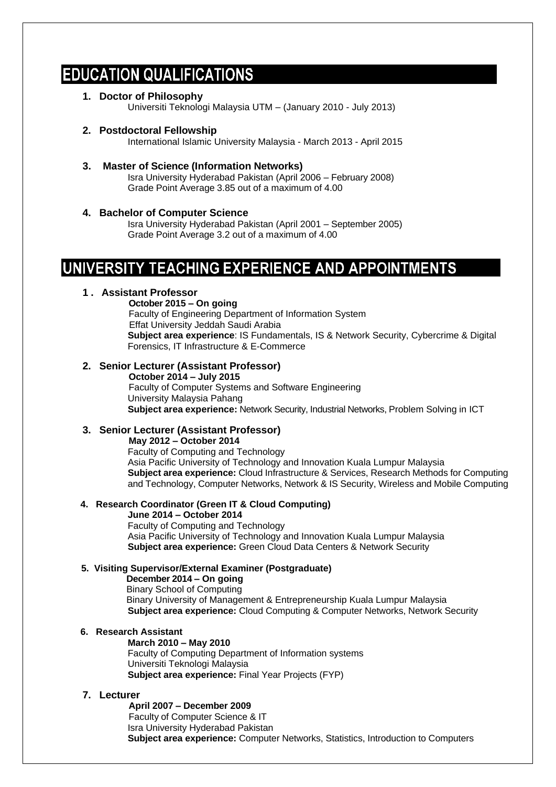## **EDUCATION QUALIFICATIONS**

**1. Doctor of Philosophy**

Universiti Teknologi Malaysia UTM – (January 2010 - July 2013)

#### **2. Postdoctoral Fellowship**

International Islamic University Malaysia - March 2013 - April 2015

**3. Master of Science (Information Networks)** Isra University Hyderabad Pakistan (April 2006 – February 2008) Grade Point Average 3.85 out of a maximum of 4.00

#### **4. Bachelor of Computer Science**

Isra University Hyderabad Pakistan (April 2001 – September 2005) Grade Point Average 3.2 out of a maximum of 4.00

## UNIVERSITY TEACHING EXPERIENCE AND APPOINTMENTS

#### **1. Assistant Professor**

**October 2015 – On going**

 Faculty of Engineering Department of Information System Effat University Jeddah Saudi Arabia

**Subject area experience**: IS Fundamentals, IS & Network Security, Cybercrime & Digital Forensics, IT Infrastructure & E-Commerce

#### **2. Senior Lecturer (Assistant Professor)**

 **October 2014 – July 2015** Faculty of Computer Systems and Software Engineering University Malaysia Pahang **Subject area experience:** Network Security, Industrial Networks, Problem Solving in ICT

#### **3. Senior Lecturer (Assistant Professor)**

**May 2012 – October 2014**

 Faculty of Computing and Technology Asia Pacific University of Technology and Innovation Kuala Lumpur Malaysia **Subject area experience:** Cloud Infrastructure & Services, Research Methods for Computing and Technology, Computer Networks, Network & IS Security, Wireless and Mobile Computing

#### **4. Research Coordinator (Green IT & Cloud Computing)**

**June 2014 – October 2014**

Faculty of Computing and Technology Asia Pacific University of Technology and Innovation Kuala Lumpur Malaysia **Subject area experience:** Green Cloud Data Centers & Network Security

#### **5. Visiting Supervisor/External Examiner (Postgraduate)**

 **December 2014 – On going** Binary School of Computing Binary University of Management & Entrepreneurship Kuala Lumpur Malaysia **Subject area experience:** Cloud Computing & Computer Networks, Network Security

#### **6. Research Assistant**

**March 2010 – May 2010** Faculty of Computing Department of Information systems Universiti Teknologi Malaysia **Subject area experience:** Final Year Projects (FYP)

#### **7. Lecturer**

**April 2007 – December 2009**

 Faculty of Computer Science & IT Isra University Hyderabad Pakistan **Subject area experience:** Computer Networks, Statistics, Introduction to Computers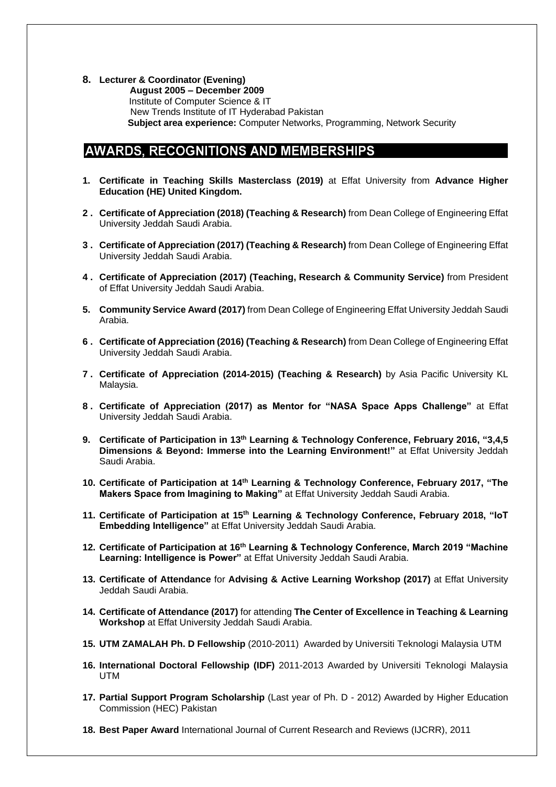**8. Lecturer & Coordinator (Evening)**

 **August 2005 – December 2009** Institute of Computer Science & IT New Trends Institute of IT Hyderabad Pakistan **Subject area experience:** Computer Networks, Programming, Network Security

### **AWARDS. RECOGNITIONS AND MEMBERSHIPS**

- **1. Certificate in Teaching Skills Masterclass (2019)** at Effat University from **Advance Higher Education (HE) United Kingdom.**
- **2 . Certificate of Appreciation (2018) (Teaching & Research)** from Dean College of Engineering Effat University Jeddah Saudi Arabia.
- **3 . Certificate of Appreciation (2017) (Teaching & Research)** from Dean College of Engineering Effat University Jeddah Saudi Arabia.
- **4 . Certificate of Appreciation (2017) (Teaching, Research & Community Service)** from President of Effat University Jeddah Saudi Arabia.
- **5. Community Service Award (2017)** from Dean College of Engineering Effat University Jeddah Saudi Arabia.
- **6 . Certificate of Appreciation (2016) (Teaching & Research)** from Dean College of Engineering Effat University Jeddah Saudi Arabia.
- **7 . Certificate of Appreciation (2014-2015) (Teaching & Research)** by Asia Pacific University KL Malaysia.
- **8 . Certificate of Appreciation (2017) as Mentor for "NASA Space Apps Challenge"** at Effat University Jeddah Saudi Arabia.
- **9. Certificate of Participation in 13th Learning & Technology Conference, February 2016, "3,4,5 Dimensions & Beyond: Immerse into the Learning Environment!"** at Effat University Jeddah Saudi Arabia.
- **10. Certificate of Participation at 14th Learning & Technology Conference, February 2017, "The Makers Space from Imagining to Making"** at Effat University Jeddah Saudi Arabia.
- **11. Certificate of Participation at 15th Learning & Technology Conference, February 2018, "IoT Embedding Intelligence"** at Effat University Jeddah Saudi Arabia.
- **12. Certificate of Participation at 16th Learning & Technology Conference, March 2019 "Machine Learning: Intelligence is Power"** at Effat University Jeddah Saudi Arabia.
- **13. Certificate of Attendance** for **Advising & Active Learning Workshop (2017)** at Effat University Jeddah Saudi Arabia.
- **14. Certificate of Attendance (2017)** for attending **The Center of Excellence in Teaching & Learning Workshop** at Effat University Jeddah Saudi Arabia.
- **15. UTM ZAMALAH Ph. D Fellowship** (2010-2011) Awarded by Universiti Teknologi Malaysia UTM
- **16. International Doctoral Fellowship (IDF)** 2011-2013 Awarded by Universiti Teknologi Malaysia UTM
- **17. Partial Support Program Scholarship** (Last year of Ph. D 2012) Awarded by Higher Education Commission (HEC) Pakistan
- **18. Best Paper Award** International Journal of Current Research and Reviews (IJCRR), 2011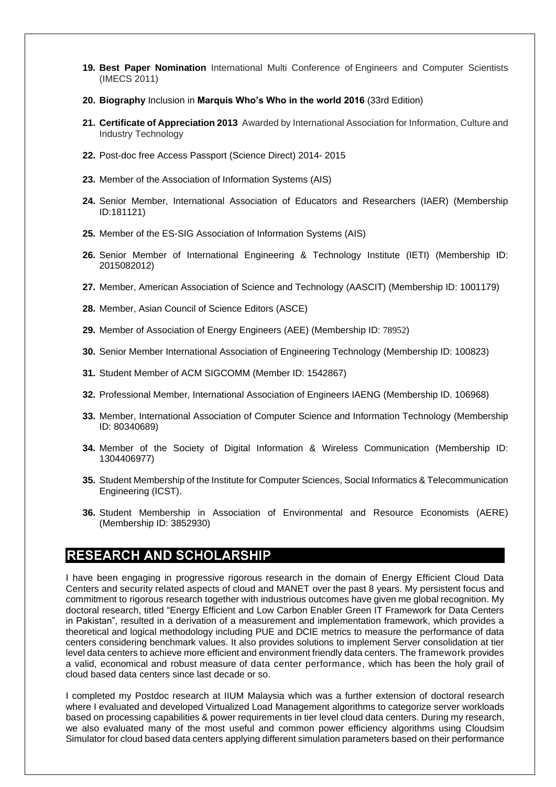- **19. Best Paper Nomination** International Multi Conference of Engineers and Computer Scientists (IMECS 2011)
- **20. Biography** Inclusion in **Marquis Who's Who in the world 2016** (33rd Edition)
- **21. Certificate of Appreciation 2013** Awarded by International Association for Information, Culture and Industry Technology
- **22.** Post-doc free Access Passport (Science Direct) 2014- 2015
- **23.** Member of the Association of Information Systems (AIS)
- **24.** Senior Member, International Association of Educators and Researchers (IAER) (Membership ID:181121)
- **25.** Member of the ES-SIG Association of Information Systems (AIS)
- **26.** Senior Member of International Engineering & Technology Institute (IETI) (Membership ID: 2015082012)
- **27.** Member, American Association of Science and Technology (AASCIT) (Membership ID: 1001179)
- **28.** Member, Asian Council of Science Editors (ASCE)
- **29.** Member of Association of Energy Engineers (AEE) (Membership ID: 78952)
- **30.** Senior Member International Association of Engineering Technology (Membership ID: 100823)
- **31.** Student Member of ACM SIGCOMM (Member ID: 1542867)
- **32.** Professional Member, International Association of Engineers IAENG (Membership ID. 106968)
- **33.** Member, International Association of Computer Science and Information Technology (Membership ID: 80340689)
- **34.** Member of the Society of Digital Information & Wireless Communication (Membership ID: 1304406977)
- **35.** Student Membership of the Institute for Computer Sciences, Social Informatics & Telecommunication Engineering (ICST).
- **36.** Student Membership in Association of Environmental and Resource Economists (AERE) (Membership ID: 3852930)

### **RESEARCH AND SCHOLARSHIP**

I have been engaging in progressive rigorous research in the domain of Energy Efficient Cloud Data Centers and security related aspects of cloud and MANET over the past 8 years. My persistent focus and commitment to rigorous research together with industrious outcomes have given me global recognition. My doctoral research, titled "Energy Efficient and Low Carbon Enabler Green IT Framework for Data Centers in Pakistan", resulted in a derivation of a measurement and implementation framework, which provides a theoretical and logical methodology including PUE and DCIE metrics to measure the performance of data centers considering benchmark values. It also provides solutions to implement Server consolidation at tier level data centers to achieve more efficient and environment friendly data centers. The framework provides a valid, economical and robust measure of data center performance, which has been the holy grail of cloud based data centers since last decade or so.

I completed my Postdoc research at IIUM Malaysia which was a further extension of doctoral research where I evaluated and developed Virtualized Load Management algorithms to categorize server workloads based on processing capabilities & power requirements in tier level cloud data centers. During my research, we also evaluated many of the most useful and common power efficiency algorithms using Cloudsim Simulator for cloud based data centers applying different simulation parameters based on their performance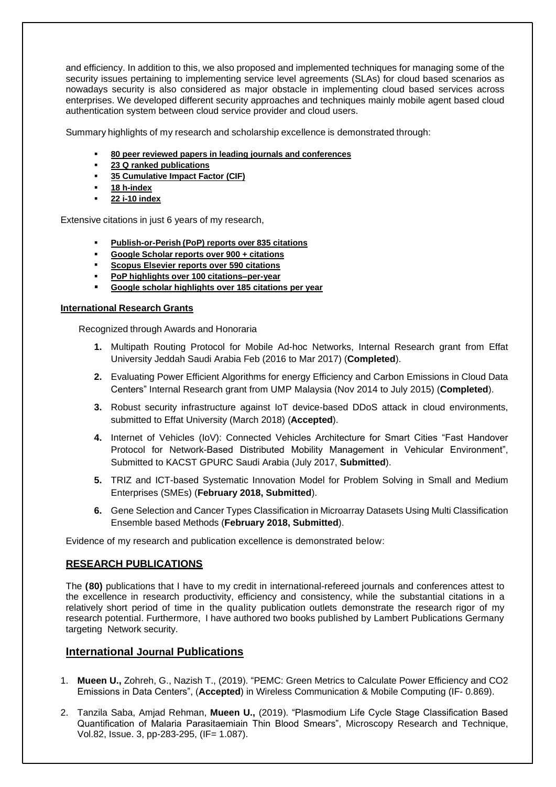and efficiency. In addition to this, we also proposed and implemented techniques for managing some of the security issues pertaining to implementing service level agreements (SLAs) for cloud based scenarios as nowadays security is also considered as major obstacle in implementing cloud based services across enterprises. We developed different security approaches and techniques mainly mobile agent based cloud authentication system between cloud service provider and cloud users.

Summary highlights of my research and scholarship excellence is demonstrated through:

- **80 peer reviewed papers in leading journals and conferences**
- **23 Q ranked publications**
- **35 Cumulative Impact Factor (CIF)**
- **18 h-index**
- **22 i-10 index**

Extensive citations in just 6 years of my research,

- **Publish-or-Perish (PoP) reports over 835 citations**
- **Google Scholar reports over 900 + citations**
- **Scopus Elsevier reports over 590 citations**
- **PoP highlights over 100 citations–per-year**
- **Google scholar highlights over 185 citations per year**

#### **International Research Grants**

Recognized through Awards and Honoraria

- **1.** Multipath Routing Protocol for Mobile Ad-hoc Networks, Internal Research grant from Effat University Jeddah Saudi Arabia Feb (2016 to Mar 2017) (**Completed**).
- **2.** Evaluating Power Efficient Algorithms for energy Efficiency and Carbon Emissions in Cloud Data Centers" Internal Research grant from UMP Malaysia (Nov 2014 to July 2015) (**Completed**).
- **3.** Robust security infrastructure against IoT device-based DDoS attack in cloud environments, submitted to Effat University (March 2018) (**Accepted**).
- **4.** Internet of Vehicles (IoV): Connected Vehicles Architecture for Smart Cities "Fast Handover Protocol for Network-Based Distributed Mobility Management in Vehicular Environment", Submitted to KACST GPURC Saudi Arabia (July 2017, **Submitted**).
- **5.** TRIZ and ICT-based Systematic Innovation Model for Problem Solving in Small and Medium Enterprises (SMEs) (**February 2018, Submitted**).
- **6.** Gene Selection and Cancer Types Classification in Microarray Datasets Using Multi Classification Ensemble based Methods (**February 2018, Submitted**).

Evidence of my research and publication excellence is demonstrated below:

#### **RESEARCH PUBLICATIONS**

The **(80)** publications that I have to my credit in international-refereed journals and conferences attest to the excellence in research productivity, efficiency and consistency, while the substantial citations in a relatively short period of time in the quality publication outlets demonstrate the research rigor of my research potential. Furthermore, I have authored two books published by Lambert Publications Germany targeting Network security.

#### **International Journal Publications**

- 1. **Mueen U.,** Zohreh, G., Nazish T., (2019). "PEMC: Green Metrics to Calculate Power Efficiency and CO2 Emissions in Data Centers", (**Accepted**) in Wireless Communication & Mobile Computing (IF- 0.869).
- 2. Tanzila Saba, Amjad Rehman, **Mueen U.,** (2019). "Plasmodium Life Cycle Stage Classification Based Quantification of Malaria Parasitaemiain Thin Blood Smears", Microscopy Research and Technique, Vol.82, Issue. 3, pp-283-295, (IF= 1.087).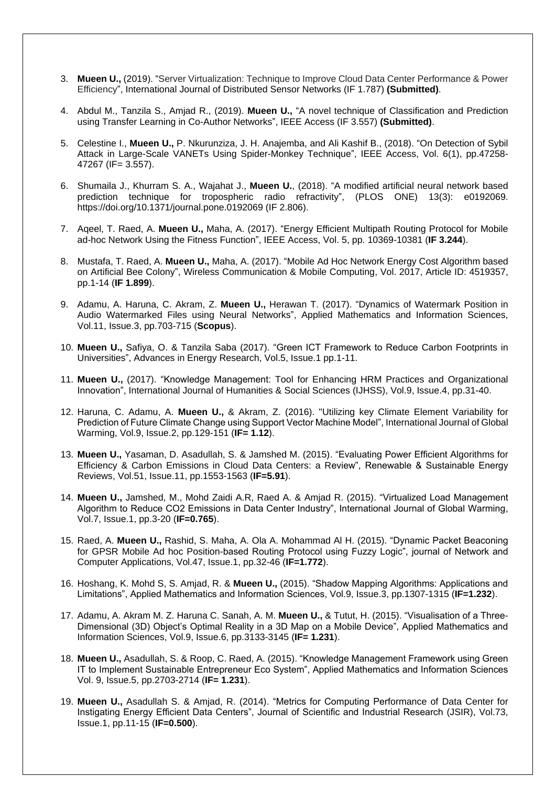- 3. **Mueen U.,** (2019). "Server Virtualization: Technique to Improve Cloud Data Center Performance & Power Efficiency", International Journal of Distributed Sensor Networks (IF 1.787) **(Submitted)**.
- 4. Abdul M., Tanzila S., Amjad R., (2019). **Mueen U.,** "A novel technique of Classification and Prediction using Transfer Learning in Co-Author Networks", IEEE Access (IF 3.557) **(Submitted)**.
- 5. Celestine I., **Mueen U.,** P. Nkurunziza, J. H. Anajemba, and Ali Kashif B., (2018). "On Detection of Sybil Attack in Large-Scale VANETs Using Spider-Monkey Technique", IEEE Access, Vol. 6(1), pp.47258- 47267 (IF= 3.557).
- 6. Shumaila J., Khurram S. A., Wajahat J., **Mueen U.**, (2018). "A modified artificial neural network based prediction technique for tropospheric radio refractivity", (PLOS ONE) 13(3): e0192069. https://doi.org/10.1371/journal.pone.0192069 (IF 2.806).
- 7. Aqeel, T. Raed, A. **Mueen U.,** Maha, A. (2017). "Energy Efficient Multipath Routing Protocol for Mobile ad-hoc Network Using the Fitness Function", IEEE Access, Vol. 5, pp. 10369-10381 (**IF 3.244**).
- 8. Mustafa, T. Raed, A. **Mueen U.,** Maha, A. (2017). "Mobile Ad Hoc Network Energy Cost Algorithm based on Artificial Bee Colony", Wireless Communication & Mobile Computing, Vol. 2017, Article ID: 4519357, pp.1-14 (**IF 1.899**).
- 9. Adamu, A. Haruna, C. Akram, Z. **Mueen U.,** Herawan T. (2017). "Dynamics of Watermark Position in Audio Watermarked Files using Neural Networks", Applied Mathematics and Information Sciences, Vol.11, Issue.3, pp.703-715 (**Scopus**).
- 10. **Mueen U.,** Safiya, O. & Tanzila Saba (2017). "Green ICT Framework to Reduce Carbon Footprints in Universities", Advances in Energy Research, Vol.5, Issue.1 pp.1-11.
- 11. **Mueen U.,** (2017). "Knowledge Management: Tool for Enhancing HRM Practices and Organizational Innovation", International Journal of Humanities & Social Sciences (IJHSS), Vol.9, Issue.4, pp.31-40.
- 12. Haruna, C. Adamu, A. **Mueen U.,** & Akram, Z. (2016). "Utilizing key Climate Element Variability for Prediction of Future Climate Change using Support Vector Machine Model", International Journal of Global Warming, Vol.9, Issue.2, pp.129-151 (**IF= 1.12**).
- 13. **Mueen U.,** Yasaman, D. Asadullah, S. & Jamshed M. (2015). "Evaluating Power Efficient Algorithms for Efficiency & Carbon Emissions in Cloud Data Centers: a Review", Renewable & Sustainable Energy Reviews, Vol.51, Issue.11, pp.1553-1563 (**IF=5.91**).
- 14. **Mueen U.,** Jamshed, M., Mohd Zaidi A.R, Raed A. & Amjad R. (2015). "Virtualized Load Management Algorithm to Reduce CO2 Emissions in Data Center Industry", International Journal of Global Warming, Vol.7, Issue.1, pp.3-20 (**IF=0.765**).
- 15. Raed, A. **Mueen U.,** Rashid, S. Maha, A. Ola A. Mohammad Al H. (2015). "Dynamic Packet Beaconing for GPSR Mobile Ad hoc Position-based Routing Protocol using Fuzzy Logic", journal of Network and Computer Applications, Vol.47, Issue.1, pp.32-46 (**IF=1.772**).
- 16. Hoshang, K. Mohd S, S. Amjad, R. & **Mueen U.,** (2015). "Shadow Mapping Algorithms: Applications and Limitations", Applied Mathematics and Information Sciences, Vol.9, Issue.3, pp.1307-1315 (**IF=1.232**).
- 17. Adamu, A. Akram M. Z. Haruna C. Sanah, A. M. **Mueen U.,** & Tutut, H. (2015). "Visualisation of a Three-Dimensional (3D) Object's Optimal Reality in a 3D Map on a Mobile Device", Applied Mathematics and Information Sciences, Vol.9, Issue.6, pp.3133-3145 (**IF= 1.231**).
- 18. **Mueen U.,** Asadullah, S. & Roop, C. Raed, A. (2015). "Knowledge Management Framework using Green IT to Implement Sustainable Entrepreneur Eco System", Applied Mathematics and Information Sciences Vol. 9, Issue.5, pp.2703-2714 (**IF= 1.231**).
- 19. **Mueen U.,** Asadullah S. & Amjad, R. (2014). "Metrics for Computing Performance of Data Center for Instigating Energy Efficient Data Centers", Journal of Scientific and Industrial Research (JSIR), Vol.73, Issue.1, pp.11-15 (**IF=0.500**).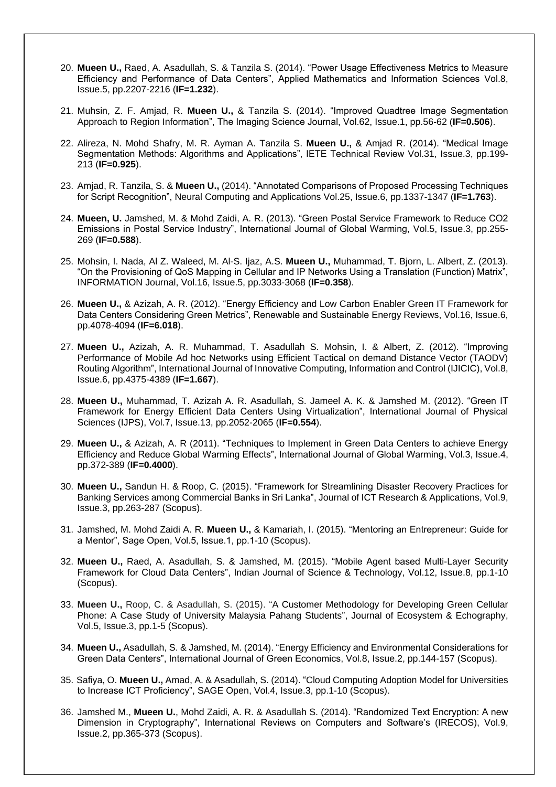- 20. **Mueen U.,** Raed, A. Asadullah, S. & Tanzila S. (2014). "Power Usage Effectiveness Metrics to Measure Efficiency and Performance of Data Centers", Applied Mathematics and Information Sciences Vol.8, Issue.5, pp.2207-2216 (**IF=1.232**).
- 21. Muhsin, Z. F. Amjad, R. **Mueen U.,** & Tanzila S. (2014). "Improved Quadtree Image Segmentation Approach to Region Information", The Imaging Science Journal, Vol.62, Issue.1, pp.56-62 (**IF=0.506**).
- 22. Alireza, N. Mohd Shafry, M. R. Ayman A. Tanzila S. **Mueen U.,** & Amjad R. (2014). "Medical Image Segmentation Methods: Algorithms and Applications", IETE Technical Review Vol.31, Issue.3, pp.199- 213 (**IF=0.925**).
- 23. Amjad, R. Tanzila, S. & **Mueen U.,** (2014). "Annotated Comparisons of Proposed Processing Techniques for Script Recognition", Neural Computing and Applications Vol.25, Issue.6, pp.1337-1347 (**IF=1.763**).
- 24. **Mueen, U.** Jamshed, M. & Mohd Zaidi, A. R. (2013). "Green Postal Service Framework to Reduce CO2 Emissions in Postal Service Industry", International Journal of Global Warming, Vol.5, Issue.3, pp.255- 269 (**IF=0.588**).
- 25. Mohsin, I. Nada, Al Z. Waleed, M. Al-S. Ijaz, A.S. **Mueen U.,** Muhammad, T. Bjorn, L. Albert, Z. (2013). "On the Provisioning of QoS Mapping in Cellular and IP Networks Using a Translation (Function) Matrix", INFORMATION Journal, Vol.16, Issue.5, pp.3033-3068 (**IF=0.358**).
- 26. **Mueen U.,** & Azizah, A. R. (2012). "Energy Efficiency and Low Carbon Enabler Green IT Framework for Data Centers Considering Green Metrics", Renewable and Sustainable Energy Reviews, Vol.16, Issue.6, pp.4078-4094 (**IF=6.018**).
- 27. **Mueen U.,** Azizah, A. R. Muhammad, T. Asadullah S. Mohsin, I. & Albert, Z. (2012). "Improving Performance of Mobile Ad hoc Networks using Efficient Tactical on demand Distance Vector (TAODV) Routing Algorithm", International Journal of Innovative Computing, Information and Control (IJICIC), Vol.8, Issue.6, pp.4375-4389 (**IF=1.667**).
- 28. **Mueen U.,** Muhammad, T. Azizah A. R. Asadullah, S. Jameel A. K. & Jamshed M. (2012). "Green IT Framework for Energy Efficient Data Centers Using Virtualization", International Journal of Physical Sciences (IJPS), Vol.7, Issue.13, pp.2052-2065 (**IF=0.554**).
- 29. **Mueen U.,** & Azizah, A. R (2011). "Techniques to Implement in Green Data Centers to achieve Energy Efficiency and Reduce Global Warming Effects", International Journal of Global Warming, Vol.3, Issue.4, pp.372-389 (**IF=0.4000**).
- 30. **Mueen U.,** Sandun H. & Roop, C. (2015). "Framework for Streamlining Disaster Recovery Practices for Banking Services among Commercial Banks in Sri Lanka", Journal of ICT Research & Applications, Vol.9, Issue.3, pp.263-287 (Scopus).
- 31. Jamshed, M. Mohd Zaidi A. R. **Mueen U.,** & Kamariah, I. (2015). "Mentoring an Entrepreneur: Guide for a Mentor", Sage Open, Vol.5, Issue.1, pp.1-10 (Scopus).
- 32. **Mueen U.,** Raed, A. Asadullah, S. & Jamshed, M. (2015). "Mobile Agent based Multi-Layer Security Framework for Cloud Data Centers", Indian Journal of Science & Technology, Vol.12, Issue.8, pp.1-10 (Scopus).
- 33. **Mueen U.,** Roop, C. & Asadullah, S. (2015). "A Customer Methodology for Developing Green Cellular Phone: A Case Study of University Malaysia Pahang Students", Journal of Ecosystem & Echography, Vol.5, Issue.3, pp.1-5 (Scopus).
- 34. **Mueen U.,** Asadullah, S. & Jamshed, M. (2014). "Energy Efficiency and Environmental Considerations for Green Data Centers", International Journal of Green Economics, Vol.8, Issue.2, pp.144-157 (Scopus).
- 35. Safiya, O. **Mueen U.,** Amad, A. & Asadullah, S. (2014). "Cloud Computing Adoption Model for Universities to Increase ICT Proficiency", SAGE Open, Vol.4, Issue.3, pp.1-10 (Scopus).
- 36. Jamshed M., **Mueen U.**, Mohd Zaidi, A. R. & Asadullah S. (2014). "Randomized Text Encryption: A new Dimension in Cryptography", International Reviews on Computers and Software's (IRECOS), Vol.9, Issue.2, pp.365-373 (Scopus).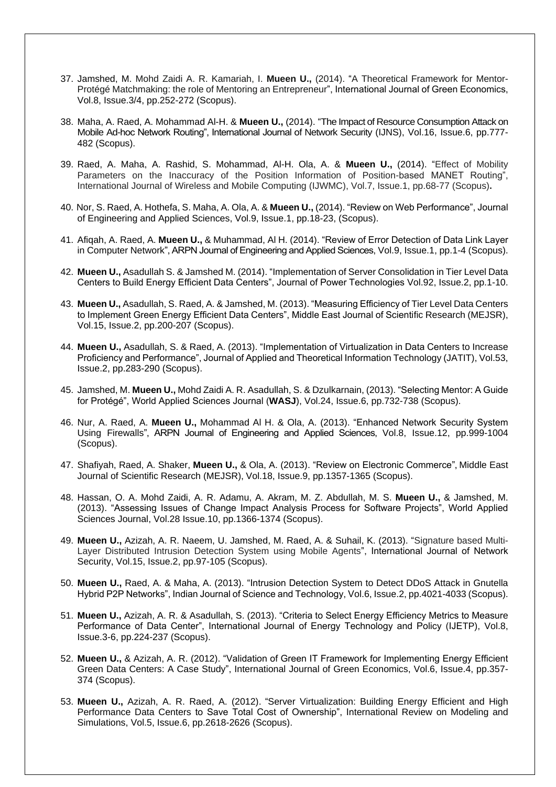- 37. Jamshed, M. Mohd Zaidi A. R. Kamariah, I. **Mueen U.,** (2014). "A Theoretical Framework for Mentor-Protégé Matchmaking: the role of Mentoring an Entrepreneur", International Journal of Green Economics, Vol.8, Issue.3/4, pp.252-272 (Scopus).
- 38. Maha, A. Raed, A. Mohammad Al-H. & **Mueen U.,** (2014). "The Impact of Resource Consumption Attack on Mobile Ad-hoc Network Routing", International Journal of Network Security (IJNS), Vol.16, Issue.6, pp.777- 482 (Scopus).
- 39. Raed, A. Maha, A. Rashid, S. Mohammad, Al-H. Ola, A. & **Mueen U.,** (2014). "Effect of Mobility Parameters on the Inaccuracy of the Position Information of Position-based MANET Routing", International Journal of Wireless and Mobile Computing (IJWMC), Vol.7, Issue.1, pp.68-77 (Scopus)**.**
- 40. Nor, S. Raed, A. Hothefa, S. Maha, A. Ola, A. & **Mueen U.,** (2014). "Review on Web Performance", Journal of Engineering and Applied Sciences, Vol.9, Issue.1, pp.18-23, (Scopus).
- 41. Afiqah, A. Raed, A. **Mueen U.,** & Muhammad, Al H. (2014). "Review of Error Detection of Data Link Layer in Computer Network", ARPN Journal of Engineering and Applied Sciences, Vol.9, Issue.1, pp.1-4 (Scopus).
- 42. **Mueen U.,** Asadullah S. & Jamshed M. (2014). "Implementation of Server Consolidation in Tier Level Data Centers to Build Energy Efficient Data Centers", Journal of Power Technologies Vol.92, Issue.2, pp.1-10.
- 43. **Mueen U.,** Asadullah, S. Raed, A. & Jamshed, M. (2013). "Measuring Efficiency of Tier Level Data Centers to Implement Green Energy Efficient Data Centers", Middle East Journal of Scientific Research (MEJSR), Vol.15, Issue.2, pp.200-207 (Scopus).
- 44. **Mueen U.,** Asadullah, S. & Raed, A. (2013). "Implementation of Virtualization in Data Centers to Increase Proficiency and Performance", Journal of Applied and Theoretical Information Technology (JATIT), Vol.53, Issue.2, pp.283-290 (Scopus).
- 45. Jamshed, M. **Mueen U.,** Mohd Zaidi A. R. Asadullah, S. & Dzulkarnain, (2013). "Selecting Mentor: A Guide for Protégé", World Applied Sciences Journal (**WASJ**), Vol.24, Issue.6, pp.732-738 (Scopus).
- 46. Nur, A. Raed, A. **Mueen U.,** Mohammad Al H. & Ola, A. (2013). "Enhanced Network Security System Using Firewalls", ARPN Journal of Engineering and Applied Sciences, Vol.8, Issue.12, pp.999-1004 (Scopus).
- 47. Shafiyah, Raed, A. Shaker, **Mueen U.,** & Ola, A. (2013). "Review on Electronic Commerce", Middle East Journal of Scientific Research (MEJSR), Vol.18, Issue.9, pp.1357-1365 (Scopus).
- 48. Hassan, O. A. Mohd Zaidi, A. R. Adamu, A. Akram, M. Z. Abdullah, M. S. **Mueen U.,** & Jamshed, M. (2013). "Assessing Issues of Change Impact Analysis Process for Software Projects", World Applied Sciences Journal, Vol.28 Issue.10, pp.1366-1374 (Scopus).
- 49. **Mueen U.,** Azizah, A. R. Naeem, U. Jamshed, M. Raed, A. & Suhail, K. (2013). "Signature based Multi-Layer Distributed Intrusion Detection System using Mobile Agents", International Journal of Network Security, Vol.15, Issue.2, pp.97-105 (Scopus).
- 50. **Mueen U.,** Raed, A. & Maha, A. (2013). "Intrusion Detection System to Detect DDoS Attack in Gnutella Hybrid P2P Networks", Indian Journal of Science and Technology, Vol.6, Issue.2, pp.4021-4033 (Scopus).
- 51. **Mueen U.,** Azizah, A. R. & Asadullah, S. (2013). "Criteria to Select Energy Efficiency Metrics to Measure Performance of Data Center", International Journal of Energy Technology and Policy (IJETP), Vol.8, Issue.3-6, pp.224-237 (Scopus).
- 52. **Mueen U.,** & Azizah, A. R. (2012). "Validation of Green IT Framework for Implementing Energy Efficient Green Data Centers: A Case Study", International Journal of Green Economics, Vol.6, Issue.4, pp.357- 374 (Scopus).
- 53. **Mueen U.,** Azizah, A. R. Raed, A. (2012). "Server Virtualization: Building Energy Efficient and High Performance Data Centers to Save Total Cost of Ownership", International Review on Modeling and Simulations, Vol.5, Issue.6, pp.2618-2626 (Scopus).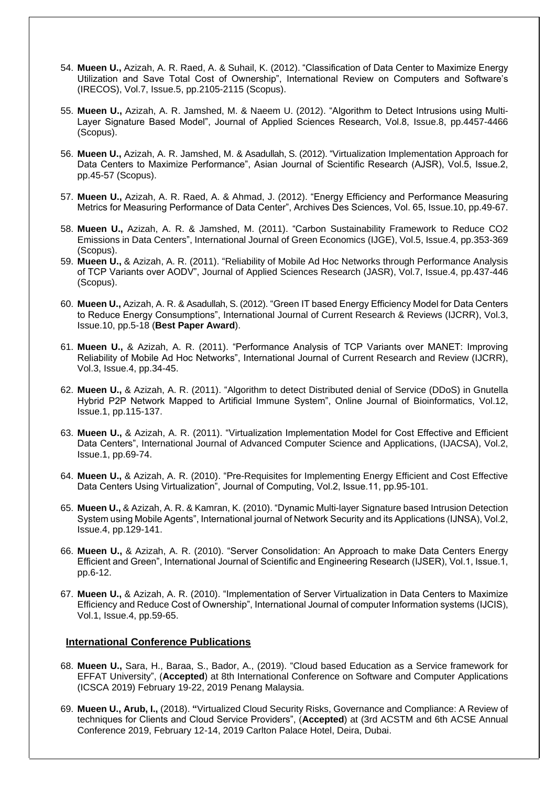- 54. **Mueen U.,** Azizah, A. R. Raed, A. & Suhail, K. (2012). "Classification of Data Center to Maximize Energy Utilization and Save Total Cost of Ownership", International Review on Computers and Software's (IRECOS), Vol.7, Issue.5, pp.2105-2115 (Scopus).
- 55. **Mueen U.,** Azizah, A. R. Jamshed, M. & Naeem U. (2012). "Algorithm to Detect Intrusions using Multi-Layer Signature Based Model", Journal of Applied Sciences Research, Vol.8, Issue.8, pp.4457-4466 (Scopus).
- 56. **Mueen U.,** Azizah, A. R. Jamshed, M. & Asadullah, S. (2012). "Virtualization Implementation Approach for Data Centers to Maximize Performance", Asian Journal of Scientific Research (AJSR), Vol.5, Issue.2, pp.45-57 (Scopus).
- 57. **Mueen U.,** Azizah, A. R. Raed, A. & Ahmad, J. (2012). "Energy Efficiency and Performance Measuring Metrics for Measuring Performance of Data Center", Archives Des Sciences, Vol. 65, Issue.10, pp.49-67.
- 58. **Mueen U.,** Azizah, A. R. & Jamshed, M. (2011). "Carbon Sustainability Framework to Reduce CO2 Emissions in Data Centers", International Journal of Green Economics (IJGE), Vol.5, Issue.4, pp.353-369 (Scopus).
- 59. **Mueen U.,** & Azizah, A. R. (2011). "Reliability of Mobile Ad Hoc Networks through Performance Analysis of TCP Variants over AODV", Journal of Applied Sciences Research (JASR), Vol.7, Issue.4, pp.437-446 (Scopus).
- 60. **Mueen U.,** Azizah, A. R. & Asadullah, S. (2012). "Green IT based Energy Efficiency Model for Data Centers to Reduce Energy Consumptions", International Journal of Current Research & Reviews (IJCRR), Vol.3, Issue.10, pp.5-18 (**Best Paper Award**).
- 61. **Mueen U.,** & Azizah, A. R. (2011). "Performance Analysis of TCP Variants over MANET: Improving Reliability of Mobile Ad Hoc Networks", International Journal of Current Research and Review (IJCRR), Vol.3, Issue.4, pp.34-45.
- 62. **Mueen U.,** & Azizah, A. R. (2011). "Algorithm to detect Distributed denial of Service (DDoS) in Gnutella Hybrid P2P Network Mapped to Artificial Immune System", Online Journal of Bioinformatics, Vol.12, Issue.1, pp.115-137.
- 63. **Mueen U.,** & Azizah, A. R. (2011). "Virtualization Implementation Model for Cost Effective and Efficient Data Centers", International Journal of Advanced Computer Science and Applications, (IJACSA), Vol.2, Issue.1, pp.69-74.
- 64. **Mueen U.,** & Azizah, A. R. (2010). "Pre-Requisites for Implementing Energy Efficient and Cost Effective Data Centers Using Virtualization", Journal of Computing, Vol.2, Issue.11, pp.95-101.
- 65. **Mueen U.,** & Azizah, A. R. & Kamran, K. (2010). "Dynamic Multi-layer Signature based Intrusion Detection System using Mobile Agents", International journal of Network Security and its Applications (IJNSA), Vol.2, Issue.4, pp.129-141.
- 66. **Mueen U.,** & Azizah, A. R. (2010). "Server Consolidation: An Approach to make Data Centers Energy Efficient and Green", International Journal of Scientific and Engineering Research (IJSER), Vol.1, Issue.1, pp.6-12.
- 67. **Mueen U.,** & Azizah, A. R. (2010). "Implementation of Server Virtualization in Data Centers to Maximize Efficiency and Reduce Cost of Ownership", International Journal of computer Information systems (IJCIS), Vol.1, Issue.4, pp.59-65.

#### **International Conference Publications**

- 68. **Mueen U.,** Sara, H., Baraa, S., Bador, A., (2019). "Cloud based Education as a Service framework for EFFAT University", (**Accepted**) at 8th International Conference on Software and Computer Applications (ICSCA 2019) February 19-22, 2019 Penang Malaysia.
- 69. **Mueen U., Arub, I.,** (2018). **"**Virtualized Cloud Security Risks, Governance and Compliance: A Review of techniques for Clients and Cloud Service Providers", (**Accepted**) at (3rd ACSTM and 6th ACSE Annual Conference 2019, February 12-14, 2019 Carlton Palace Hotel, Deira, Dubai.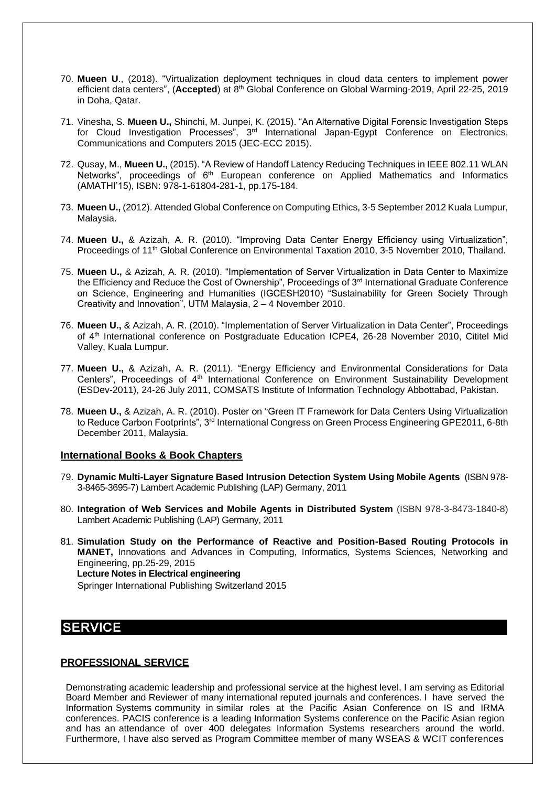- 70. **Mueen U**., (2018). "Virtualization deployment techniques in cloud data centers to implement power efficient data centers", (Accepted) at 8<sup>th</sup> Global Conference on Global Warming-2019, April 22-25, 2019 in Doha, Qatar.
- 71. Vinesha, S. **Mueen U.,** Shinchi, M. Junpei, K. (2015). "An Alternative Digital Forensic Investigation Steps for Cloud Investigation Processes", 3<sup>rd</sup> International Japan-Egypt Conference on Electronics, Communications and Computers 2015 (JEC-ECC 2015).
- 72. Qusay, M., **Mueen U.,** (2015). "A Review of Handoff Latency Reducing Techniques in IEEE 802.11 WLAN Networks", proceedings of  $6<sup>th</sup>$  European conference on Applied Mathematics and Informatics (AMATHI'15), ISBN: 978-1-61804-281-1, pp.175-184.
- 73. **Mueen U.,** (2012). Attended Global Conference on Computing Ethics, 3-5 September 2012 Kuala Lumpur, Malaysia.
- 74. **Mueen U.,** & Azizah, A. R. (2010). "Improving Data Center Energy Efficiency using Virtualization", Proceedings of 11th Global Conference on Environmental Taxation 2010, 3-5 November 2010, Thailand.
- 75. **Mueen U.,** & Azizah, A. R. (2010). "Implementation of Server Virtualization in Data Center to Maximize the Efficiency and Reduce the Cost of Ownership", Proceedings of 3rd International Graduate Conference on Science, Engineering and Humanities (IGCESH2010) "Sustainability for Green Society Through Creativity and Innovation", UTM Malaysia, 2 – 4 November 2010.
- 76. **Mueen U.,** & Azizah, A. R. (2010). "Implementation of Server Virtualization in Data Center", Proceedings of 4<sup>th</sup> International conference on Postgraduate Education ICPE4, 26-28 November 2010, Cititel Mid Valley, Kuala Lumpur.
- 77. **Mueen U.,** & Azizah, A. R. (2011). "Energy Efficiency and Environmental Considerations for Data Centers", Proceedings of 4<sup>th</sup> International Conference on Environment Sustainability Development (ESDev-2011), 24-26 July 2011, COMSATS Institute of Information Technology Abbottabad, Pakistan.
- 78. **Mueen U.,** & Azizah, A. R. (2010). Poster on "Green IT Framework for Data Centers Using Virtualization to Reduce Carbon Footprints", 3<sup>rd</sup> International Congress on Green Process Engineering GPE2011, 6-8th December 2011, Malaysia.

#### **International Books & Book Chapters**

- 79. **Dynamic Multi-Layer Signature Based Intrusion Detection System Using Mobile Agents** (ISBN 978- 3-8465-3695-7) Lambert Academic Publishing (LAP) Germany, 2011
- 80. **Integration of Web Services and Mobile Agents in Distributed System** (ISBN 978-3-8473-1840-8) Lambert Academic Publishing (LAP) Germany, 2011
- 81. **Simulation Study on the Performance of Reactive and Position-Based Routing Protocols in MANET,** Innovations and Advances in Computing, Informatics, Systems Sciences, Networking and Engineering, pp.25-29, 2015  **Lecture Notes in Electrical engineering**  Springer International Publishing Switzerland 2015

#### **SERVICE**

#### **PROFESSIONAL SERVICE**

Demonstrating academic leadership and professional service at the highest level, I am serving as Editorial Board Member and Reviewer of many international reputed journals and conferences. I have served the Information Systems community in similar roles at the Pacific Asian Conference on IS and IRMA conferences. PACIS conference is a leading Information Systems conference on the Pacific Asian region and has an attendance of over 400 delegates Information Systems researchers around the world. Furthermore, I have also served as Program Committee member of many WSEAS & WCIT conferences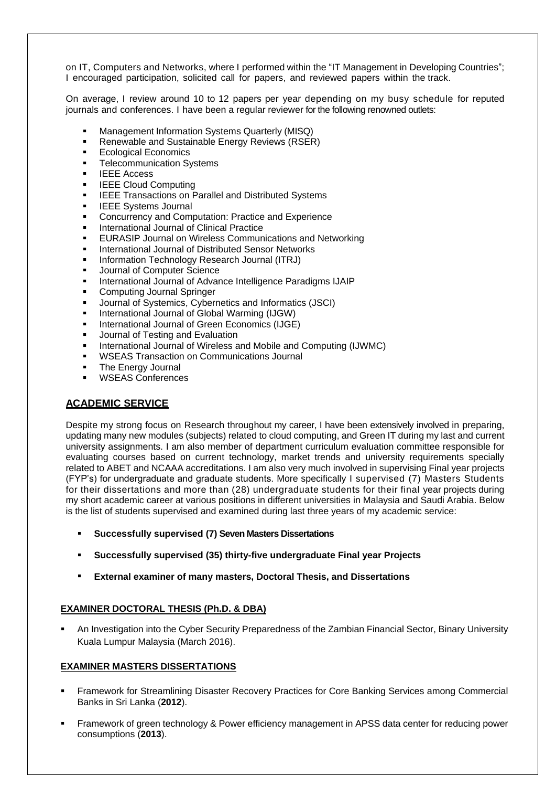on IT, Computers and Networks, where I performed within the "IT Management in Developing Countries"; I encouraged participation, solicited call for papers, and reviewed papers within the track.

On average, I review around 10 to 12 papers per year depending on my busy schedule for reputed journals and conferences. I have been a regular reviewer for the following renowned outlets:

- **Management Information Systems Quarterly (MISQ)**<br>**•** Renewable and Sustainable Energy Reviews (RSEE
- Renewable and Sustainable Energy Reviews (RSER)
- **Ecological Economics**
- Telecommunication Systems
- IEEE Access
- **IEEE Cloud Computing**
- **IEEE Transactions on Parallel and Distributed Systems**
- **IEEE Systems Journal**
- **Concurrency and Computation: Practice and Experience**
- **International Journal of Clinical Practice**
- **EURASIP Journal on Wireless Communications and Networking**
- International Journal of Distributed Sensor Networks
- Information Technology Research Journal (ITRJ)
- Journal of Computer Science
- **International Journal of Advance Intelligence Paradigms IJAIP**
- **Computing Journal Springer**
- Journal of Systemics, Cybernetics and Informatics (JSCI)
- **International Journal of Global Warming (IJGW)**
- **International Journal of Green Economics (IJGE)**
- **Journal of Testing and Evaluation**
- **EXECUTE:** International Journal of Wireless and Mobile and Computing (IJWMC)
- WSEAS Transaction on Communications Journal
- **The Energy Journal**
- WSEAS Conferences

#### **ACADEMIC SERVICE**

Despite my strong focus on Research throughout my career, I have been extensively involved in preparing, updating many new modules (subjects) related to cloud computing, and Green IT during my last and current university assignments. I am also member of department curriculum evaluation committee responsible for evaluating courses based on current technology, market trends and university requirements specially related to ABET and NCAAA accreditations. I am also very much involved in supervising Final year projects (FYP's) for undergraduate and graduate students. More specifically I supervised (7) Masters Students for their dissertations and more than (28) undergraduate students for their final year projects during my short academic career at various positions in different universities in Malaysia and Saudi Arabia. Below is the list of students supervised and examined during last three years of my academic service:

- **Successfully supervised (7) Seven Masters Dissertations**
- **Successfully supervised (35) thirty-five undergraduate Final year Projects**
- **External examiner of many masters, Doctoral Thesis, and Dissertations**

#### **EXAMINER DOCTORAL THESIS (Ph.D. & DBA)**

 An Investigation into the Cyber Security Preparedness of the Zambian Financial Sector, Binary University Kuala Lumpur Malaysia (March 2016).

#### **EXAMINER MASTERS DISSERTATIONS**

- Framework for Streamlining Disaster Recovery Practices for Core Banking Services among Commercial Banks in Sri Lanka (**2012**).
- Framework of green technology & Power efficiency management in APSS data center for reducing power consumptions (**2013**).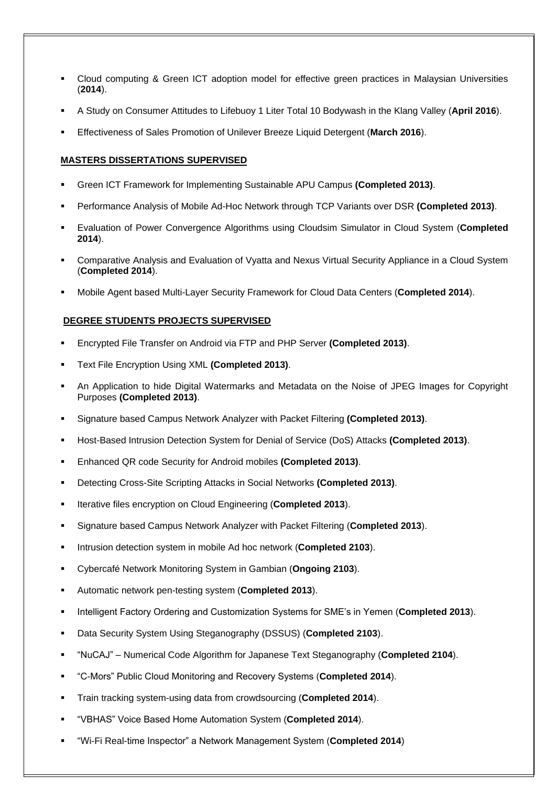- Cloud computing & Green ICT adoption model for effective green practices in Malaysian Universities (**2014**).
- A Study on Consumer Attitudes to Lifebuoy 1 Liter Total 10 Bodywash in the Klang Valley (**April 2016**).
- Effectiveness of Sales Promotion of Unilever Breeze Liquid Detergent (**March 2016**).

#### **MASTERS DISSERTATIONS SUPERVISED**

- Green ICT Framework for Implementing Sustainable APU Campus **(Completed 2013)**.
- Performance Analysis of Mobile Ad-Hoc Network through TCP Variants over DSR **(Completed 2013)**.
- Evaluation of Power Convergence Algorithms using Cloudsim Simulator in Cloud System (**Completed 2014**).
- Comparative Analysis and Evaluation of Vyatta and Nexus Virtual Security Appliance in a Cloud System (**Completed 2014**).
- Mobile Agent based Multi-Layer Security Framework for Cloud Data Centers (**Completed 2014**).

#### **DEGREE STUDENTS PROJECTS SUPERVISED**

- Encrypted File Transfer on Android via FTP and PHP Server **(Completed 2013)**.
- Text File Encryption Using XML **(Completed 2013)**.
- An Application to hide Digital Watermarks and Metadata on the Noise of JPEG Images for Copyright Purposes **(Completed 2013)**.
- Signature based Campus Network Analyzer with Packet Filtering **(Completed 2013)**.
- Host-Based Intrusion Detection System for Denial of Service (DoS) Attacks **(Completed 2013)**.
- Enhanced QR code Security for Android mobiles **(Completed 2013)**.
- Detecting Cross-Site Scripting Attacks in Social Networks **(Completed 2013)**.
- Iterative files encryption on Cloud Engineering (**Completed 2013**).
- Signature based Campus Network Analyzer with Packet Filtering (**Completed 2013**).
- Intrusion detection system in mobile Ad hoc network (**Completed 2103**).
- Cybercafé Network Monitoring System in Gambian (**Ongoing 2103**).
- Automatic network pen-testing system (**Completed 2013**).
- Intelligent Factory Ordering and Customization Systems for SME's in Yemen (**Completed 2013**).
- Data Security System Using Steganography (DSSUS) (**Completed 2103**).
- "NuCAJ" Numerical Code Algorithm for Japanese Text Steganography (**Completed 2104**).
- "C-Mors" Public Cloud Monitoring and Recovery Systems (**Completed 2014**).
- Train tracking system-using data from crowdsourcing (**Completed 2014**).
- "VBHAS" Voice Based Home Automation System (**Completed 2014**).
- "Wi-Fi Real-time Inspector" a Network Management System (**Completed 2014**)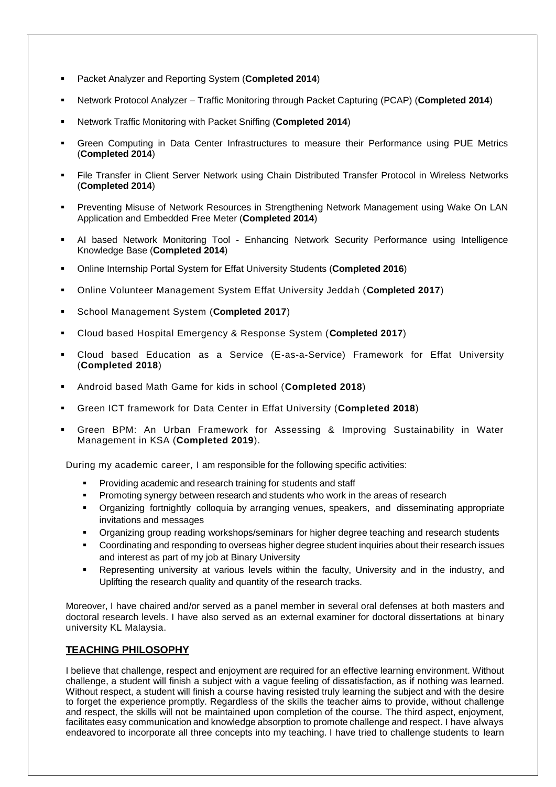- Packet Analyzer and Reporting System (**Completed 2014**)
- Network Protocol Analyzer Traffic Monitoring through Packet Capturing (PCAP) (**Completed 2014**)
- Network Traffic Monitoring with Packet Sniffing (**Completed 2014**)
- Green Computing in Data Center Infrastructures to measure their Performance using PUE Metrics (**Completed 2014**)
- File Transfer in Client Server Network using Chain Distributed Transfer Protocol in Wireless Networks (**Completed 2014**)
- **Preventing Misuse of Network Resources in Strengthening Network Management using Wake On LAN** Application and Embedded Free Meter (**Completed 2014**)
- AI based Network Monitoring Tool Enhancing Network Security Performance using Intelligence Knowledge Base (**Completed 2014**)
- Online Internship Portal System for Effat University Students (**Completed 2016**)
- Online Volunteer Management System Effat University Jeddah (**Completed 2017**)
- School Management System (**Completed 2017**)
- Cloud based Hospital Emergency & Response System (**Completed 2017**)
- Cloud based Education as a Service (E-as-a-Service) Framework for Effat University (**Completed 2018**)
- Android based Math Game for kids in school (**Completed 2018**)
- Green ICT framework for Data Center in Effat University (**Completed 2018**)
- Green BPM: An Urban Framework for Assessing & Improving Sustainability in Water Management in KSA (**Completed 2019**).

During my academic career, I am responsible for the following specific activities:

- Providing academic and research training for students and staff
- Promoting synergy between research and students who work in the areas of research
- Organizing fortnightly colloquia by arranging venues, speakers, and disseminating appropriate invitations and messages
- Organizing group reading workshops/seminars for higher degree teaching and research students
- Coordinating and responding to overseas higher degree student inquiries about their research issues and interest as part of my job at Binary University
- Representing university at various levels within the faculty, University and in the industry, and Uplifting the research quality and quantity of the research tracks.

Moreover, I have chaired and/or served as a panel member in several oral defenses at both masters and doctoral research levels. I have also served as an external examiner for doctoral dissertations at binary university KL Malaysia.

#### **TEACHING PHILOSOPHY**

I believe that challenge, respect and enjoyment are required for an effective learning environment. Without challenge, a student will finish a subject with a vague feeling of dissatisfaction, as if nothing was learned. Without respect, a student will finish a course having resisted truly learning the subject and with the desire to forget the experience promptly. Regardless of the skills the teacher aims to provide, without challenge and respect, the skills will not be maintained upon completion of the course. The third aspect, enjoyment, facilitates easy communication and knowledge absorption to promote challenge and respect. I have always endeavored to incorporate all three concepts into my teaching. I have tried to challenge students to learn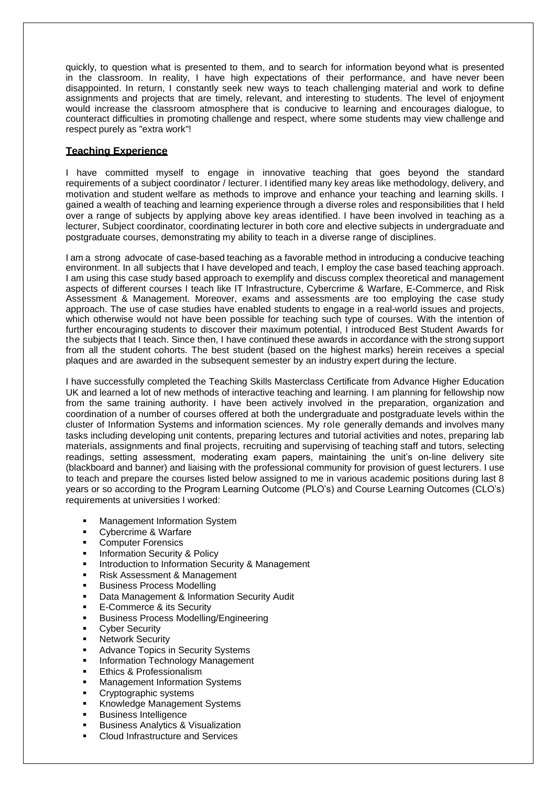quickly, to question what is presented to them, and to search for information beyond what is presented in the classroom. In reality, I have high expectations of their performance, and have never been disappointed. In return, I constantly seek new ways to teach challenging material and work to define assignments and projects that are timely, relevant, and interesting to students. The level of enjoyment would increase the classroom atmosphere that is conducive to learning and encourages dialogue, to counteract difficulties in promoting challenge and respect, where some students may view challenge and respect purely as "extra work"!

#### **Teaching Experience**

I have committed myself to engage in innovative teaching that goes beyond the standard requirements of a subject coordinator / lecturer. I identified many key areas like methodology, delivery, and motivation and student welfare as methods to improve and enhance your teaching and learning skills. I gained a wealth of teaching and learning experience through a diverse roles and responsibilities that I held over a range of subjects by applying above key areas identified. I have been involved in teaching as a lecturer, Subject coordinator, coordinating lecturer in both core and elective subjects in undergraduate and postgraduate courses, demonstrating my ability to teach in a diverse range of disciplines.

I am a strong advocate of case-based teaching as a favorable method in introducing a conducive teaching environment. In all subjects that I have developed and teach, I employ the case based teaching approach. I am using this case study based approach to exemplify and discuss complex theoretical and management aspects of different courses I teach like IT Infrastructure, Cybercrime & Warfare, E-Commerce, and Risk Assessment & Management. Moreover, exams and assessments are too employing the case study approach. The use of case studies have enabled students to engage in a real-world issues and projects, which otherwise would not have been possible for teaching such type of courses. With the intention of further encouraging students to discover their maximum potential, I introduced Best Student Awards for the subjects that I teach. Since then, I have continued these awards in accordance with the strong support from all the student cohorts. The best student (based on the highest marks) herein receives a special plaques and are awarded in the subsequent semester by an industry expert during the lecture.

I have successfully completed the Teaching Skills Masterclass Certificate from Advance Higher Education UK and learned a lot of new methods of interactive teaching and learning. I am planning for fellowship now from the same training authority. I have been actively involved in the preparation, organization and coordination of a number of courses offered at both the undergraduate and postgraduate levels within the cluster of Information Systems and information sciences. My role generally demands and involves many tasks including developing unit contents, preparing lectures and tutorial activities and notes, preparing lab materials, assignments and final projects, recruiting and supervising of teaching staff and tutors, selecting readings, setting assessment, moderating exam papers, maintaining the unit's on-line delivery site (blackboard and banner) and liaising with the professional community for provision of guest lecturers. I use to teach and prepare the courses listed below assigned to me in various academic positions during last 8 years or so according to the Program Learning Outcome (PLO's) and Course Learning Outcomes (CLO's) requirements at universities I worked:

- Management Information System
- **Cybercrime & Warfare**
- **Computer Forensics**<br> **Computer Security**
- Information Security & Policy
- Introduction to Information Security & Management
- Risk Assessment & Management
- Business Process Modelling
- **Data Management & Information Security Audit**
- **E-Commerce & its Security**
- **Business Process Modelling/Engineering**
- **•** Cyber Security
- **-** Network Security
- Advance Topics in Security Systems
- Information Technology Management
- Ethics & Professionalism
- Management Information Systems
- **Cryptographic systems**
- **Knowledge Management Systems**
- **Business Intelligence**
- **Business Analytics & Visualization**
- Cloud Infrastructure and Services